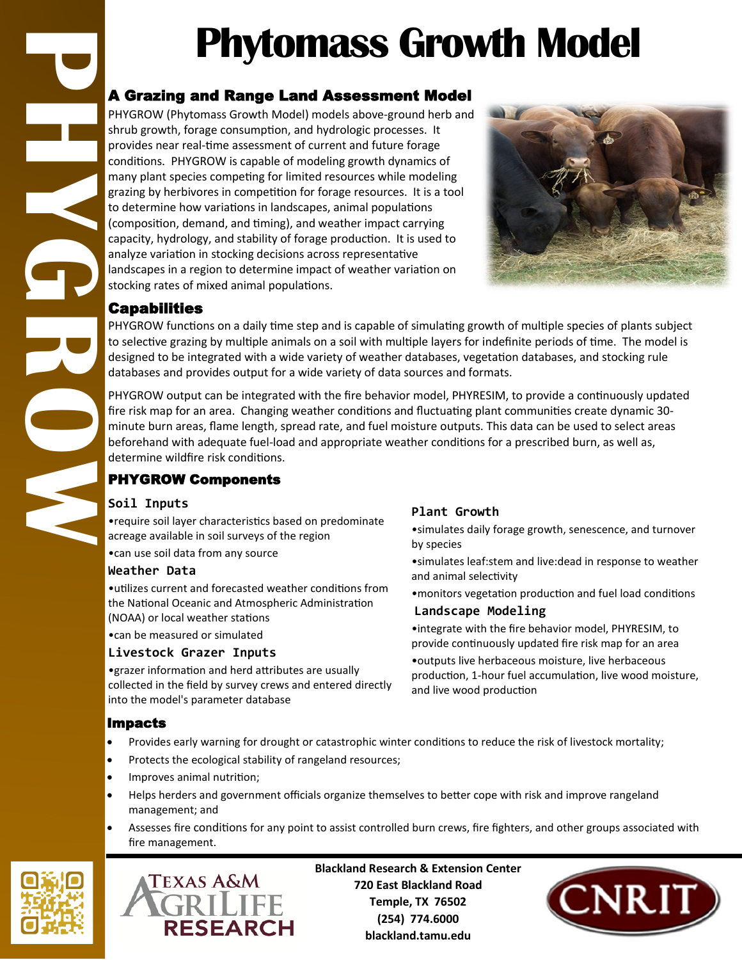# **Phytomass Growth Model**

### A Grazing and Range Land Assessment Model

**PHYGROW** PHYGROW (Phytomass Growth Model) models above-ground herb and shrub growth, forage consumption, and hydrologic processes. It provides near real-time assessment of current and future forage conditions. PHYGROW is capable of modeling growth dynamics of many plant species competing for limited resources while modeling grazing by herbivores in competition for forage resources. It is a tool to determine how variations in landscapes, animal populations (composition, demand, and timing), and weather impact carrying capacity, hydrology, and stability of forage production. It is used to analyze variation in stocking decisions across representative landscapes in a region to determine impact of weather variation on stocking rates of mixed animal populations.



#### Capabilities

PHYGROW functions on a daily time step and is capable of simulating growth of multiple species of plants subject to selective grazing by multiple animals on a soil with multiple layers for indefinite periods of time. The model is designed to be integrated with a wide variety of weather databases, vegetation databases, and stocking rule databases and provides output for a wide variety of data sources and formats.

PHYGROW output can be integrated with the fire behavior model, PHYRESIM, to provide a continuously updated fire risk map for an area. Changing weather conditions and fluctuating plant communities create dynamic 30 minute burn areas, flame length, spread rate, and fuel moisture outputs. This data can be used to select areas beforehand with adequate fuel-load and appropriate weather conditions for a prescribed burn, as well as, determine wildfire risk conditions.

#### PHYGROW Components

#### **Soil Inputs**

•require soil layer characteristics based on predominate acreage available in soil surveys of the region

•can use soil data from any source

#### **Weather Data**

•utilizes current and forecasted weather conditions from the National Oceanic and Atmospheric Administration (NOAA) or local weather stations

•can be measured or simulated

#### **Livestock Grazer Inputs**

•grazer information and herd attributes are usually collected in the field by survey crews and entered directly into the model's parameter database

## **Plant Growth**

•simulates daily forage growth, senescence, and turnover by species

•simulates leaf:stem and live:dead in response to weather and animal selectivity

•monitors vegetation production and fuel load conditions

#### **Landscape Modeling**

•integrate with the fire behavior model, PHYRESIM, to provide continuously updated fire risk map for an area

•outputs live herbaceous moisture, live herbaceous production, 1-hour fuel accumulation, live wood moisture, and live wood production

#### Impacts

- Provides early warning for drought or catastrophic winter conditions to reduce the risk of livestock mortality;
- Protects the ecological stability of rangeland resources;
- Improves animal nutrition;
- Helps herders and government officials organize themselves to better cope with risk and improve rangeland management; and
- Assesses fire conditions for any point to assist controlled burn crews, fire fighters, and other groups associated with fire management.





**Blackland Research & Extension Center 720 East Blackland Road Temple, TX 76502 (254) 774.6000 blackland.tamu.edu**